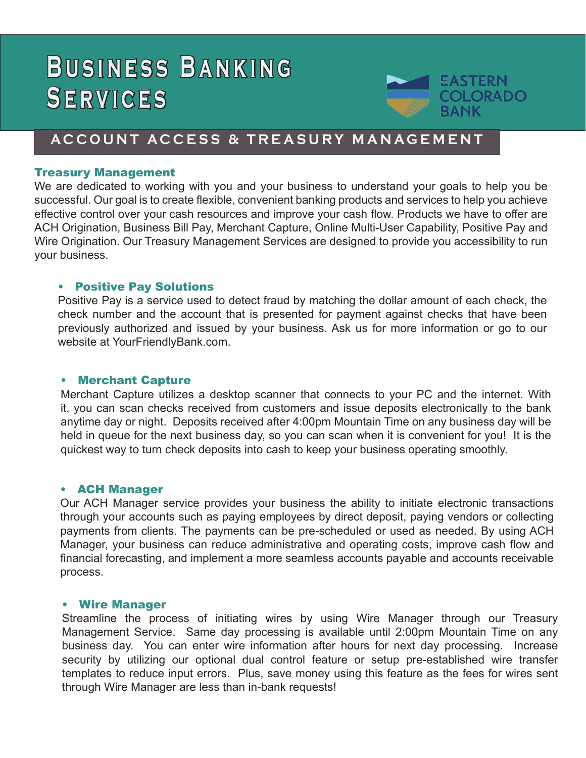# **BUSINESS BANKING Services**



# **ACCOUNT ACCESS & TREASURY MANAGEMENT**

# Treasury Management

We are dedicated to working with you and your business to understand your goals to help you be successful. Our goal is to create flexible, convenient banking products and services to help you achieve effective control over your cash resources and improve your cash flow. Products we have to offer are ACH Origination, Business Bill Pay, Merchant Capture, Online Multi-User Capability, Positive Pay and Wire Origination. Our Treasury Management Services are designed to provide you accessibility to run your business.

# **Positive Pay Solutions**

Positive Pay is a service used to detect fraud by matching the dollar amount of each check, the check number and the account that is presented for payment against checks that have been previously authorized and issued by your business. Ask us for more information or go to our website at YourFriendlyBank.com.

# • Merchant Capture

Merchant Capture utilizes a desktop scanner that connects to your PC and the internet. With it, you can scan checks received from customers and issue deposits electronically to the bank anytime day or night. Deposits received after 4:00pm Mountain Time on any business day will be held in queue for the next business day, so you can scan when it is convenient for you! It is the quickest way to turn check deposits into cash to keep your business operating smoothly.

# • ACH Manager

Our ACH Manager service provides your business the ability to initiate electronic transactions through your accounts such as paying employees by direct deposit, paying vendors or collecting payments from clients. The payments can be pre-scheduled or used as needed. By using ACH Manager, your business can reduce administrative and operating costs, improve cash flow and financial forecasting, and implement a more seamless accounts payable and accounts receivable process.

#### • Wire Manager

Streamline the process of initiating wires by using Wire Manager through our Treasury Management Service. Same day processing is available until 2:00pm Mountain Time on any business day. You can enter wire information after hours for next day processing. Increase security by utilizing our optional dual control feature or setup pre-established wire transfer templates to reduce input errors. Plus, save money using this feature as the fees for wires sent through Wire Manager are less than in-bank requests!